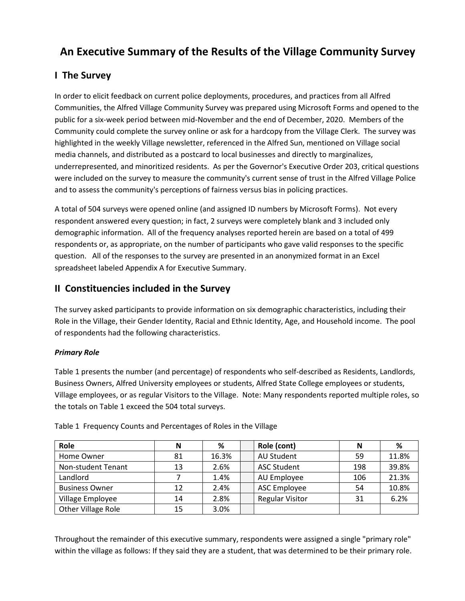# **An Executive Summary of the Results of the Village Community Survey**

# **I The Survey**

In order to elicit feedback on current police deployments, procedures, and practices from all Alfred Communities, the Alfred Village Community Survey was prepared using Microsoft Forms and opened to the public for a six-week period between mid-November and the end of December, 2020. Members of the Community could complete the survey online or ask for a hardcopy from the Village Clerk. The survey was highlighted in the weekly Village newsletter, referenced in the Alfred Sun, mentioned on Village social media channels, and distributed as a postcard to local businesses and directly to marginalizes, underrepresented, and minoritized residents. As per the Governor's Executive Order 203, critical questions were included on the survey to measure the community's current sense of trust in the Alfred Village Police and to assess the community's perceptions of fairness versus bias in policing practices.

A total of 504 surveys were opened online (and assigned ID numbers by Microsoft Forms). Not every respondent answered every question; in fact, 2 surveys were completely blank and 3 included only demographic information. All of the frequency analyses reported herein are based on a total of 499 respondents or, as appropriate, on the number of participants who gave valid responses to the specific question. All of the responses to the survey are presented in an anonymized format in an Excel spreadsheet labeled Appendix A for Executive Summary.

### **II Constituencies included in the Survey**

The survey asked participants to provide information on six demographic characteristics, including their Role in the Village, their Gender Identity, Racial and Ethnic Identity, Age, and Household income. The pool of respondents had the following characteristics.

### *Primary Role*

Table 1 presents the number (and percentage) of respondents who self-described as Residents, Landlords, Business Owners, Alfred University employees or students, Alfred State College employees or students, Village employees, or as regular Visitors to the Village. Note: Many respondents reported multiple roles, so the totals on Table 1 exceed the 504 total surveys.

| Role                  | Ν  | ℅     | Role (cont)            | N   | %     |
|-----------------------|----|-------|------------------------|-----|-------|
| Home Owner            | 81 | 16.3% | AU Student             | 59  | 11.8% |
| Non-student Tenant    | 13 | 2.6%  | <b>ASC Student</b>     | 198 | 39.8% |
| Landlord              |    | 1.4%  | AU Employee            | 106 | 21.3% |
| <b>Business Owner</b> | 12 | 2.4%  | <b>ASC Employee</b>    | 54  | 10.8% |
| Village Employee      | 14 | 2.8%  | <b>Regular Visitor</b> | 31  | 6.2%  |
| Other Village Role    | 15 | 3.0%  |                        |     |       |

Table 1 Frequency Counts and Percentages of Roles in the Village

Throughout the remainder of this executive summary, respondents were assigned a single "primary role" within the village as follows: If they said they are a student, that was determined to be their primary role.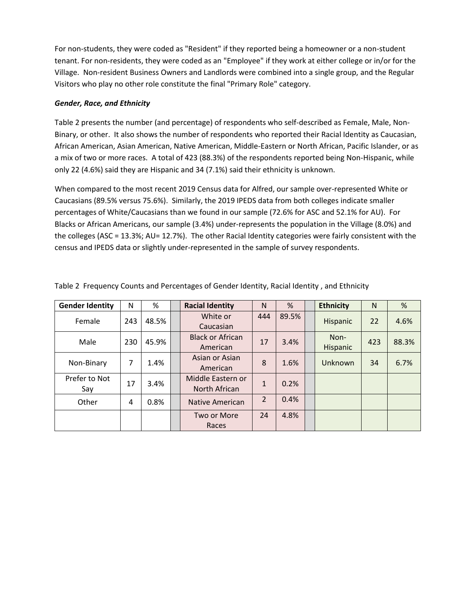For non-students, they were coded as "Resident" if they reported being a homeowner or a non-student tenant. For non-residents, they were coded as an "Employee" if they work at either college or in/or for the Village. Non-resident Business Owners and Landlords were combined into a single group, and the Regular Visitors who play no other role constitute the final "Primary Role" category.

#### *Gender, Race, and Ethnicity*

Table 2 presents the number (and percentage) of respondents who self-described as Female, Male, Non-Binary, or other. It also shows the number of respondents who reported their Racial Identity as Caucasian, African American, Asian American, Native American, Middle-Eastern or North African, Pacific Islander, or as a mix of two or more races. A total of 423 (88.3%) of the respondents reported being Non-Hispanic, while only 22 (4.6%) said they are Hispanic and 34 (7.1%) said their ethnicity is unknown.

When compared to the most recent 2019 Census data for Alfred, our sample over-represented White or Caucasians (89.5% versus 75.6%). Similarly, the 2019 IPEDS data from both colleges indicate smaller percentages of White/Caucasians than we found in our sample (72.6% for ASC and 52.1% for AU). For Blacks or African Americans, our sample (3.4%) under-represents the population in the Village (8.0%) and the colleges (ASC = 13.3%; AU= 12.7%). The other Racial Identity categories were fairly consistent with the census and IPEDS data or slightly under-represented in the sample of survey respondents.

| <b>Gender Identity</b> | N   | %     | <b>Racial Identity</b>              | N              | %     | <b>Ethnicity</b> | N   | %     |
|------------------------|-----|-------|-------------------------------------|----------------|-------|------------------|-----|-------|
| Female                 | 243 | 48.5% | White or<br>Caucasian               | 444            | 89.5% | Hispanic         | 22  | 4.6%  |
| Male                   | 230 | 45.9% | <b>Black or African</b><br>American | 17             | 3.4%  | Non-<br>Hispanic | 423 | 88.3% |
| Non-Binary             | 7   | 1.4%  | Asian or Asian<br>American          | 8              | 1.6%  | Unknown          | 34  | 6.7%  |
| Prefer to Not<br>Say   | 17  | 3.4%  | Middle Eastern or<br>North African  | $\mathbf{1}$   | 0.2%  |                  |     |       |
| Other                  | 4   | 0.8%  | Native American                     | $\overline{2}$ | 0.4%  |                  |     |       |
|                        |     |       | Two or More<br>Races                | 24             | 4.8%  |                  |     |       |

Table 2 Frequency Counts and Percentages of Gender Identity, Racial Identity , and Ethnicity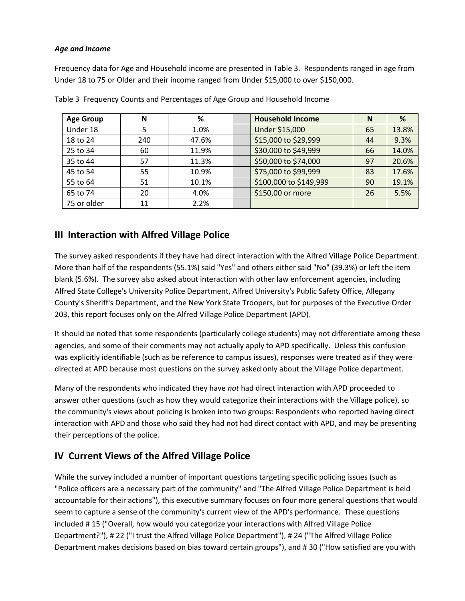#### *Age and Income*

Frequency data for Age and Household income are presented in Table 3. Respondents ranged in age from Under 18 to 75 or Older and their income ranged from Under \$15,000 to over \$150,000.

| <b>Age Group</b> | N   | %     | <b>Household Income</b> | N  | %     |
|------------------|-----|-------|-------------------------|----|-------|
| Under 18         |     | 1.0%  | Under \$15,000          | 65 | 13.8% |
| 18 to 24         | 240 | 47.6% | \$15,000 to \$29,999    | 44 | 9.3%  |
| 25 to 34         | 60  | 11.9% | \$30,000 to \$49,999    | 66 | 14.0% |
| 35 to 44         | 57  | 11.3% | \$50,000 to \$74,000    | 97 | 20.6% |
| 45 to 54         | 55  | 10.9% | \$75,000 to \$99,999    | 83 | 17.6% |
| 55 to 64         | 51  | 10.1% | \$100,000 to \$149,999  | 90 | 19.1% |
| 65 to 74         | 20  | 4.0%  | \$150,00 or more        | 26 | 5.5%  |
| 75 or older      | 11  | 2.2%  |                         |    |       |

Table 3 Frequency Counts and Percentages of Age Group and Household Income

### **III Interaction with Alfred Village Police**

The survey asked respondents if they have had direct interaction with the Alfred Village Police Department. More than half of the respondents (55.1%) said "Yes" and others either said "No" (39.3%) or left the item blank (5.6%). The survey also asked about interaction with other law enforcement agencies, including Alfred State College's University Police Department, Alfred University's Public Safety Office, Allegany County's Sheriff's Department, and the New York State Troopers, but for purposes of the Executive Order 203, this report focuses only on the Alfred Village Police Department (APD).

It should be noted that some respondents (particularly college students) may not differentiate among these agencies, and some of their comments may not actually apply to APD specifically. Unless this confusion was explicitly identifiable (such as be reference to campus issues), responses were treated as if they were directed at APD because most questions on the survey asked only about the Village Police department.

Many of the respondents who indicated they have *not* had direct interaction with APD proceeded to answer other questions (such as how they would categorize their interactions with the Village police), so the community's views about policing is broken into two groups: Respondents who reported having direct interaction with APD and those who said they had not had direct contact with APD, and may be presenting their perceptions of the police.

### **IV Current Views of the Alfred Village Police**

While the survey included a number of important questions targeting specific policing issues (such as "Police officers are a necessary part of the community" and "The Alfred Village Police Department is held accountable for their actions"), this executive summary focuses on four more general questions that would seem to capture a sense of the community's current view of the APD's performance. These questions included # 15 ("Overall, how would you categorize your interactions with Alfred Village Police Department?"), # 22 ("I trust the Alfred Village Police Department"), # 24 ("The Alfred Village Police Department makes decisions based on bias toward certain groups"), and # 30 ("How satisfied are you with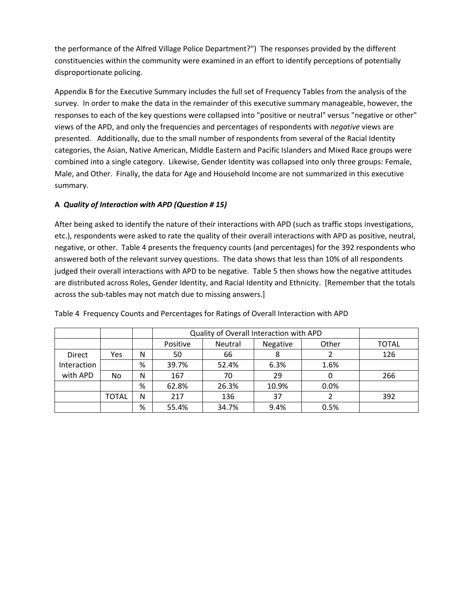the performance of the Alfred Village Police Department?") The responses provided by the different constituencies within the community were examined in an effort to identify perceptions of potentially disproportionate policing.

Appendix B for the Executive Summary includes the full set of Frequency Tables from the analysis of the survey. In order to make the data in the remainder of this executive summary manageable, however, the responses to each of the key questions were collapsed into "positive or neutral" versus "negative or other" views of the APD, and only the frequencies and percentages of respondents with *negative* views are presented. Additionally, due to the small number of respondents from several of the Racial Identity categories, the Asian, Native American, Middle Eastern and Pacific Islanders and Mixed Race groups were combined into a single category. Likewise, Gender Identity was collapsed into only three groups: Female, Male, and Other. Finally, the data for Age and Household Income are not summarized in this executive summary.

### **A** *Quality of Interaction with APD (Question # 15)*

After being asked to identify the nature of their interactions with APD (such as traffic stops investigations, etc.), respondents were asked to rate the quality of their overall interactions with APD as positive, neutral, negative, or other. Table 4 presents the frequency counts (and percentages) for the 392 respondents who answered both of the relevant survey questions. The data shows that less than 10% of all respondents judged their overall interactions with APD to be negative. Table 5 then shows how the negative attitudes are distributed across Roles, Gender Identity, and Racial Identity and Ethnicity. [Remember that the totals across the sub-tables may not match due to missing answers.]

|               |              |   |          | Quality of Overall Interaction with APD |          |       |              |  |  |
|---------------|--------------|---|----------|-----------------------------------------|----------|-------|--------------|--|--|
|               |              |   | Positive | Neutral                                 | Negative | Other | <b>TOTAL</b> |  |  |
| <b>Direct</b> | Yes          | N | 50       | 66                                      | 8        |       | 126          |  |  |
| Interaction   |              | % | 39.7%    | 52.4%                                   | 6.3%     | 1.6%  |              |  |  |
| with APD      | No           | N | 167      | 70                                      | 29       |       | 266          |  |  |
|               |              | % | 62.8%    | 26.3%                                   | 10.9%    | 0.0%  |              |  |  |
|               | <b>TOTAL</b> | N | 217      | 136                                     | 37       |       | 392          |  |  |
|               |              | % | 55.4%    | 34.7%                                   | 9.4%     | 0.5%  |              |  |  |

Table 4 Frequency Counts and Percentages for Ratings of Overall Interaction with APD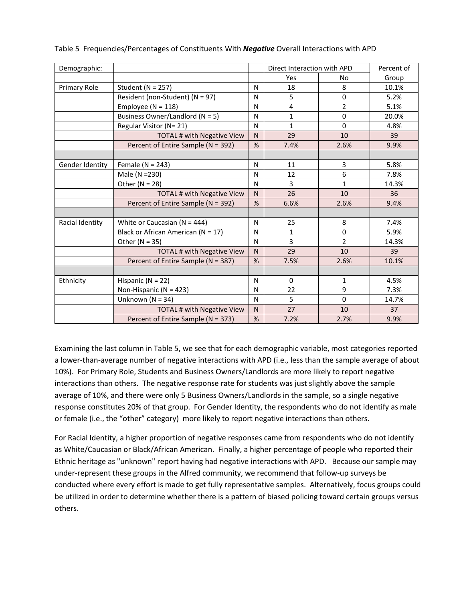| Demographic:    |                                        |              | Direct Interaction with APD |                | Percent of |
|-----------------|----------------------------------------|--------------|-----------------------------|----------------|------------|
|                 |                                        |              | Yes                         | <b>No</b>      | Group      |
| Primary Role    | Student ( $N = 257$ )                  | N            | 18                          | 8              | 10.1%      |
|                 | Resident (non-Student) (N = 97)        | N            | 5                           | 0              | 5.2%       |
|                 | Employee ( $N = 118$ )                 | N            | $\overline{4}$              | $\overline{2}$ | 5.1%       |
|                 | Business Owner/Landlord ( $N = 5$ )    | N            | $\mathbf{1}$                | 0              | 20.0%      |
|                 | Regular Visitor (N= 21)                | N            | $\mathbf{1}$                | $\Omega$       | 4.8%       |
|                 | TOTAL # with Negative View             | $\mathsf{N}$ | 29                          | 10             | 39         |
|                 | Percent of Entire Sample (N = 392)     | %            | 7.4%                        | 2.6%           | 9.9%       |
|                 |                                        |              |                             |                |            |
| Gender Identity | Female ( $N = 243$ )                   | N            | 11                          | 3              | 5.8%       |
|                 | Male (N = 230)                         | N            | 12                          | 6              | 7.8%       |
|                 | Other ( $N = 28$ )                     | N            | 3                           | 1              | 14.3%      |
|                 | TOTAL # with Negative View             | N            | 26                          | 10             | 36         |
|                 | Percent of Entire Sample (N = 392)     | %            | 6.6%                        | 2.6%           | 9.4%       |
|                 |                                        |              |                             |                |            |
| Racial Identity | White or Caucasian ( $N = 444$ )       | N            | 25                          | 8              | 7.4%       |
|                 | Black or African American ( $N = 17$ ) | N            | $\mathbf{1}$                | 0              | 5.9%       |
|                 | Other $(N = 35)$                       | N            | $\overline{3}$              | $\overline{2}$ | 14.3%      |
|                 | TOTAL # with Negative View             | N            | 29                          | 10             | 39         |
|                 | Percent of Entire Sample (N = 387)     | %            | 7.5%                        | 2.6%           | 10.1%      |
|                 |                                        |              |                             |                |            |
| Ethnicity       | Hispanic ( $N = 22$ )                  | N            | 0                           | 1              | 4.5%       |
|                 | Non-Hispanic ( $N = 423$ )             | N            | 22                          | 9              | 7.3%       |
|                 | Unknown ( $N = 34$ )                   | N            | 5                           | $\Omega$       | 14.7%      |
|                 | TOTAL # with Negative View             | N            | 27                          | 10             | 37         |
|                 | Percent of Entire Sample (N = 373)     | %            | 7.2%                        | 2.7%           | 9.9%       |

|  |  |  |  | Table 5 Frequencies/Percentages of Constituents With <b>Negative</b> Overall Interactions with APD |
|--|--|--|--|----------------------------------------------------------------------------------------------------|
|--|--|--|--|----------------------------------------------------------------------------------------------------|

Examining the last column in Table 5, we see that for each demographic variable, most categories reported a lower-than-average number of negative interactions with APD (i.e., less than the sample average of about 10%). For Primary Role, Students and Business Owners/Landlords are more likely to report negative interactions than others. The negative response rate for students was just slightly above the sample average of 10%, and there were only 5 Business Owners/Landlords in the sample, so a single negative response constitutes 20% of that group. For Gender Identity, the respondents who do not identify as male or female (i.e., the "other" category) more likely to report negative interactions than others.

For Racial Identity, a higher proportion of negative responses came from respondents who do not identify as White/Caucasian or Black/African American. Finally, a higher percentage of people who reported their Ethnic heritage as "unknown" report having had negative interactions with APD. Because our sample may under-represent these groups in the Alfred community, we recommend that follow-up surveys be conducted where every effort is made to get fully representative samples. Alternatively, focus groups could be utilized in order to determine whether there is a pattern of biased policing toward certain groups versus others.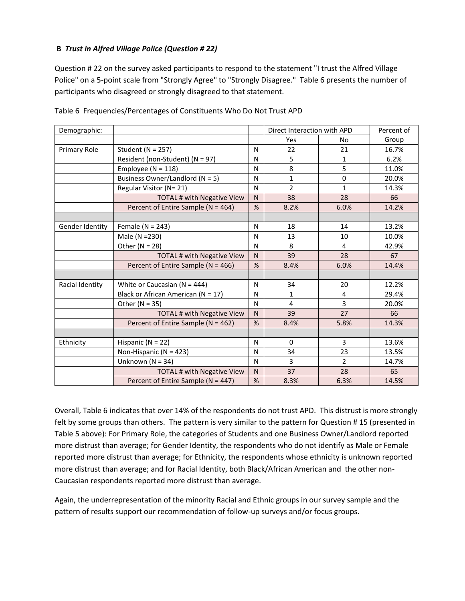#### **B** *Trust in Alfred Village Police (Question # 22)*

Question # 22 on the survey asked participants to respond to the statement "I trust the Alfred Village Police" on a 5-point scale from "Strongly Agree" to "Strongly Disagree." Table 6 presents the number of participants who disagreed or strongly disagreed to that statement.

| Demographic:    |                                        |              | Direct Interaction with APD |                | Percent of |
|-----------------|----------------------------------------|--------------|-----------------------------|----------------|------------|
|                 |                                        |              | Yes                         | No             | Group      |
| Primary Role    | Student ( $N = 257$ )                  | N            | 22                          | 21             | 16.7%      |
|                 | Resident (non-Student) (N = 97)        | N            | 5                           | 1              | 6.2%       |
|                 | Employee ( $N = 118$ )                 | N            | 8                           | 5              | 11.0%      |
|                 | Business Owner/Landlord ( $N = 5$ )    | N            | $\mathbf{1}$                | $\Omega$       | 20.0%      |
|                 | Regular Visitor (N= 21)                | N            | $\overline{2}$              | 1              | 14.3%      |
|                 | TOTAL # with Negative View             | $\mathsf{N}$ | 38                          | 28             | 66         |
|                 | Percent of Entire Sample (N = 464)     | %            | 8.2%                        | 6.0%           | 14.2%      |
|                 |                                        |              |                             |                |            |
| Gender Identity | Female ( $N = 243$ )                   | N            | 18                          | 14             | 13.2%      |
|                 | Male (N = 230)                         | N            | 13                          | 10             | 10.0%      |
|                 | Other ( $N = 28$ )                     | N            | 8                           | 4              | 42.9%      |
|                 | TOTAL # with Negative View             | N            | 39                          | 28             | 67         |
|                 | Percent of Entire Sample (N = 466)     | %            | 8.4%                        | 6.0%           | 14.4%      |
|                 |                                        |              |                             |                |            |
| Racial Identity | White or Caucasian ( $N = 444$ )       | N            | 34                          | 20             | 12.2%      |
|                 | Black or African American ( $N = 17$ ) | N            | $\mathbf{1}$                | 4              | 29.4%      |
|                 | Other $(N = 35)$                       | N            | $\overline{4}$              | 3              | 20.0%      |
|                 | TOTAL # with Negative View             | $\mathsf{N}$ | 39                          | 27             | 66         |
|                 | Percent of Entire Sample (N = 462)     | %            | 8.4%                        | 5.8%           | 14.3%      |
|                 |                                        |              |                             |                |            |
| Ethnicity       | Hispanic ( $N = 22$ )                  | N            | 0                           | 3              | 13.6%      |
|                 | Non-Hispanic ( $N = 423$ )             | N            | 34                          | 23             | 13.5%      |
|                 | Unknown ( $N = 34$ )                   | N            | 3                           | $\overline{2}$ | 14.7%      |
|                 | <b>TOTAL # with Negative View</b>      | N            | 37                          | 28             | 65         |
|                 | Percent of Entire Sample (N = 447)     | %            | 8.3%                        | 6.3%           | 14.5%      |

Table 6 Frequencies/Percentages of Constituents Who Do Not Trust APD

Overall, Table 6 indicates that over 14% of the respondents do not trust APD. This distrust is more strongly felt by some groups than others. The pattern is very similar to the pattern for Question # 15 (presented in Table 5 above): For Primary Role, the categories of Students and one Business Owner/Landlord reported more distrust than average; for Gender Identity, the respondents who do not identify as Male or Female reported more distrust than average; for Ethnicity, the respondents whose ethnicity is unknown reported more distrust than average; and for Racial Identity, both Black/African American and the other non-Caucasian respondents reported more distrust than average.

Again, the underrepresentation of the minority Racial and Ethnic groups in our survey sample and the pattern of results support our recommendation of follow-up surveys and/or focus groups.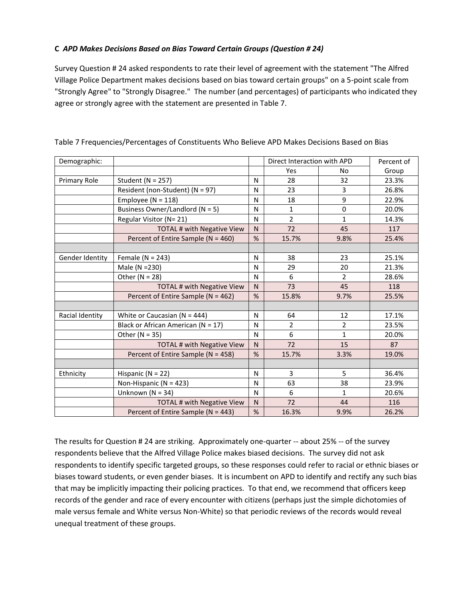### **C** *APD Makes Decisions Based on Bias Toward Certain Groups (Question # 24)*

Survey Question # 24 asked respondents to rate their level of agreement with the statement "The Alfred Village Police Department makes decisions based on bias toward certain groups" on a 5-point scale from "Strongly Agree" to "Strongly Disagree." The number (and percentages) of participants who indicated they agree or strongly agree with the statement are presented in Table 7.

| Demographic:    |                                        |              | Direct Interaction with APD |                | Percent of |
|-----------------|----------------------------------------|--------------|-----------------------------|----------------|------------|
|                 |                                        |              | Yes                         | No             | Group      |
| Primary Role    | Student ( $N = 257$ )                  | N            | 28                          | 32             | 23.3%      |
|                 | Resident (non-Student) (N = 97)        | N            | 23                          | 3              | 26.8%      |
|                 | Employee ( $N = 118$ )                 | N            | 18                          | 9              | 22.9%      |
|                 | Business Owner/Landlord (N = 5)        | N            | 1                           | $\mathbf 0$    | 20.0%      |
|                 | Regular Visitor (N= 21)                | $\mathsf{N}$ | $\overline{2}$              | 1              | 14.3%      |
|                 | TOTAL # with Negative View             | $\mathsf{N}$ | 72                          | 45             | 117        |
|                 | Percent of Entire Sample (N = 460)     | %            | 15.7%                       | 9.8%           | 25.4%      |
|                 |                                        |              |                             |                |            |
| Gender Identity | Female ( $N = 243$ )                   | N            | 38                          | 23             | 25.1%      |
|                 | Male (N = 230)                         | N            | 29                          | 20             | 21.3%      |
|                 | Other ( $N = 28$ )                     | $\mathsf{N}$ | 6                           | $\overline{2}$ | 28.6%      |
|                 | <b>TOTAL # with Negative View</b>      | $\mathsf{N}$ | 73                          | 45             | 118        |
|                 | Percent of Entire Sample (N = 462)     | %            | 15.8%                       | 9.7%           | 25.5%      |
|                 |                                        |              |                             |                |            |
| Racial Identity | White or Caucasian ( $N = 444$ )       | N            | 64                          | 12             | 17.1%      |
|                 | Black or African American ( $N = 17$ ) | N            | $\overline{2}$              | $\overline{2}$ | 23.5%      |
|                 | Other ( $N = 35$ )                     | N            | 6                           | $\mathbf{1}$   | 20.0%      |
|                 | <b>TOTAL # with Negative View</b>      | N            | 72                          | 15             | 87         |
|                 | Percent of Entire Sample (N = 458)     | %            | 15.7%                       | 3.3%           | 19.0%      |
|                 |                                        |              |                             |                |            |
| Ethnicity       | Hispanic ( $N = 22$ )                  | N            | 3                           | 5              | 36.4%      |
|                 | Non-Hispanic ( $N = 423$ )             | N            | 63                          | 38             | 23.9%      |
|                 | Unknown ( $N = 34$ )                   | N            | 6                           | $\mathbf{1}$   | 20.6%      |
|                 | <b>TOTAL # with Negative View</b>      | $\mathsf{N}$ | 72                          | 44             | 116        |
|                 | Percent of Entire Sample ( $N = 443$ ) | %            | 16.3%                       | 9.9%           | 26.2%      |

Table 7 Frequencies/Percentages of Constituents Who Believe APD Makes Decisions Based on Bias

The results for Question # 24 are striking. Approximately one-quarter -- about 25% -- of the survey respondents believe that the Alfred Village Police makes biased decisions. The survey did not ask respondents to identify specific targeted groups, so these responses could refer to racial or ethnic biases or biases toward students, or even gender biases. It is incumbent on APD to identify and rectify any such bias that may be implicitly impacting their policing practices. To that end, we recommend that officers keep records of the gender and race of every encounter with citizens (perhaps just the simple dichotomies of male versus female and White versus Non-White) so that periodic reviews of the records would reveal unequal treatment of these groups.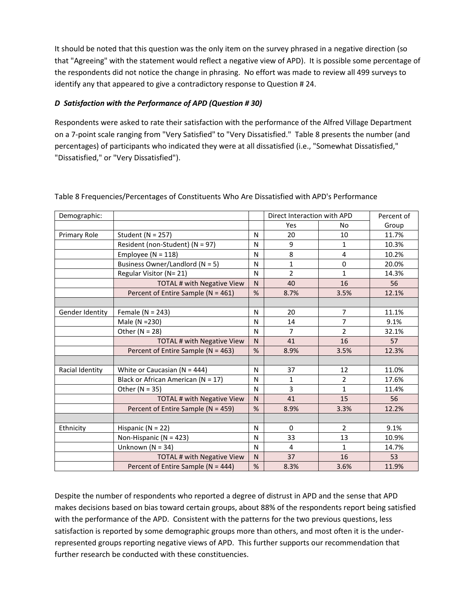It should be noted that this question was the only item on the survey phrased in a negative direction (so that "Agreeing" with the statement would reflect a negative view of APD). It is possible some percentage of the respondents did not notice the change in phrasing. No effort was made to review all 499 surveys to identify any that appeared to give a contradictory response to Question # 24.

### *D Satisfaction with the Performance of APD (Question # 30)*

Respondents were asked to rate their satisfaction with the performance of the Alfred Village Department on a 7-point scale ranging from "Very Satisfied" to "Very Dissatisfied." Table 8 presents the number (and percentages) of participants who indicated they were at all dissatisfied (i.e., "Somewhat Dissatisfied," "Dissatisfied," or "Very Dissatisfied").

| Demographic:    |                                        |                | Direct Interaction with APD |                | Percent of |
|-----------------|----------------------------------------|----------------|-----------------------------|----------------|------------|
|                 |                                        |                | Yes                         | No             | Group      |
| Primary Role    | Student ( $N = 257$ )                  | N              | 20                          | 10             | 11.7%      |
|                 | Resident (non-Student) (N = 97)        | N              | 9                           | 1              | 10.3%      |
|                 | Employee ( $N = 118$ )                 | N              | 8                           | 4              | 10.2%      |
|                 | Business Owner/Landlord (N = 5)        | N              | $\mathbf{1}$                | $\Omega$       | 20.0%      |
|                 | Regular Visitor (N= 21)                | N              | $\overline{2}$              | $\mathbf{1}$   | 14.3%      |
|                 | <b>TOTAL # with Negative View</b>      | $\mathsf{N}$   | 40                          | 16             | 56         |
|                 | Percent of Entire Sample (N = 461)     | %              | 8.7%                        | 3.5%           | 12.1%      |
|                 |                                        |                |                             |                |            |
| Gender Identity | Female ( $N = 243$ )                   | N              | 20                          | 7              | 11.1%      |
|                 | Male (N = 230)                         | N              | 14                          | 7              | 9.1%       |
|                 | Other ( $N = 28$ )                     | N              | $\overline{7}$              | $\overline{2}$ | 32.1%      |
|                 | TOTAL # with Negative View             | N <sub>1</sub> | 41                          | 16             | 57         |
|                 | Percent of Entire Sample (N = 463)     | %              | 8.9%                        | 3.5%           | 12.3%      |
|                 |                                        |                |                             |                |            |
| Racial Identity | White or Caucasian ( $N = 444$ )       | N              | 37                          | 12             | 11.0%      |
|                 | Black or African American ( $N = 17$ ) | N              | 1                           | 2              | 17.6%      |
|                 | Other $(N = 35)$                       | N              | 3                           | $\mathbf{1}$   | 11.4%      |
|                 | TOTAL # with Negative View             | $\mathsf{N}$   | 41                          | 15             | 56         |
|                 | Percent of Entire Sample (N = 459)     | $\frac{9}{6}$  | 8.9%                        | 3.3%           | 12.2%      |
|                 |                                        |                |                             |                |            |
| Ethnicity       | Hispanic ( $N = 22$ )                  | N              | 0                           | $\overline{2}$ | 9.1%       |
|                 | Non-Hispanic ( $N = 423$ )             | N              | 33                          | 13             | 10.9%      |
|                 | Unknown ( $N = 34$ )                   | N              | 4                           | $\mathbf{1}$   | 14.7%      |
|                 | <b>TOTAL # with Negative View</b>      | $\mathsf{N}$   | 37                          | 16             | 53         |
|                 | Percent of Entire Sample (N = 444)     | %              | 8.3%                        | 3.6%           | 11.9%      |

Table 8 Frequencies/Percentages of Constituents Who Are Dissatisfied with APD's Performance

Despite the number of respondents who reported a degree of distrust in APD and the sense that APD makes decisions based on bias toward certain groups, about 88% of the respondents report being satisfied with the performance of the APD. Consistent with the patterns for the two previous questions, less satisfaction is reported by some demographic groups more than others, and most often it is the underrepresented groups reporting negative views of APD. This further supports our recommendation that further research be conducted with these constituencies.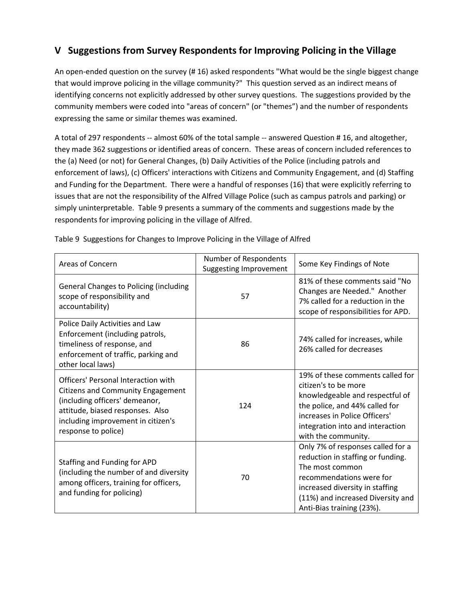## **V Suggestions from Survey Respondents for Improving Policing in the Village**

An open-ended question on the survey (# 16) asked respondents "What would be the single biggest change that would improve policing in the village community?" This question served as an indirect means of identifying concerns not explicitly addressed by other survey questions. The suggestions provided by the community members were coded into "areas of concern" (or "themes") and the number of respondents expressing the same or similar themes was examined.

A total of 297 respondents -- almost 60% of the total sample -- answered Question # 16, and altogether, they made 362 suggestions or identified areas of concern. These areas of concern included references to the (a) Need (or not) for General Changes, (b) Daily Activities of the Police (including patrols and enforcement of laws), (c) Officers' interactions with Citizens and Community Engagement, and (d) Staffing and Funding for the Department. There were a handful of responses (16) that were explicitly referring to issues that are not the responsibility of the Alfred Village Police (such as campus patrols and parking) or simply uninterpretable. Table 9 presents a summary of the comments and suggestions made by the respondents for improving policing in the village of Alfred.

| <b>Areas of Concern</b>                                                                                                                                                                                                   | Number of Respondents<br><b>Suggesting Improvement</b> | Some Key Findings of Note                                                                                                                                                                                                  |  |
|---------------------------------------------------------------------------------------------------------------------------------------------------------------------------------------------------------------------------|--------------------------------------------------------|----------------------------------------------------------------------------------------------------------------------------------------------------------------------------------------------------------------------------|--|
| <b>General Changes to Policing (including</b><br>scope of responsibility and<br>accountability)                                                                                                                           | 57                                                     | 81% of these comments said "No<br>Changes are Needed." Another<br>7% called for a reduction in the<br>scope of responsibilities for APD.                                                                                   |  |
| Police Daily Activities and Law<br>Enforcement (including patrols,<br>timeliness of response, and<br>enforcement of traffic, parking and<br>other local laws)                                                             | 86                                                     | 74% called for increases, while<br>26% called for decreases                                                                                                                                                                |  |
| <b>Officers' Personal Interaction with</b><br><b>Citizens and Community Engagement</b><br>(including officers' demeanor,<br>attitude, biased responses. Also<br>including improvement in citizen's<br>response to police) | 124                                                    | 19% of these comments called for<br>citizen's to be more<br>knowledgeable and respectful of<br>the police, and 44% called for<br>increases in Police Officers'<br>integration into and interaction<br>with the community.  |  |
| Staffing and Funding for APD<br>(including the number of and diversity<br>among officers, training for officers,<br>and funding for policing)                                                                             | 70                                                     | Only 7% of responses called for a<br>reduction in staffing or funding.<br>The most common<br>recommendations were for<br>increased diversity in staffing<br>(11%) and increased Diversity and<br>Anti-Bias training (23%). |  |

Table 9 Suggestions for Changes to Improve Policing in the Village of Alfred